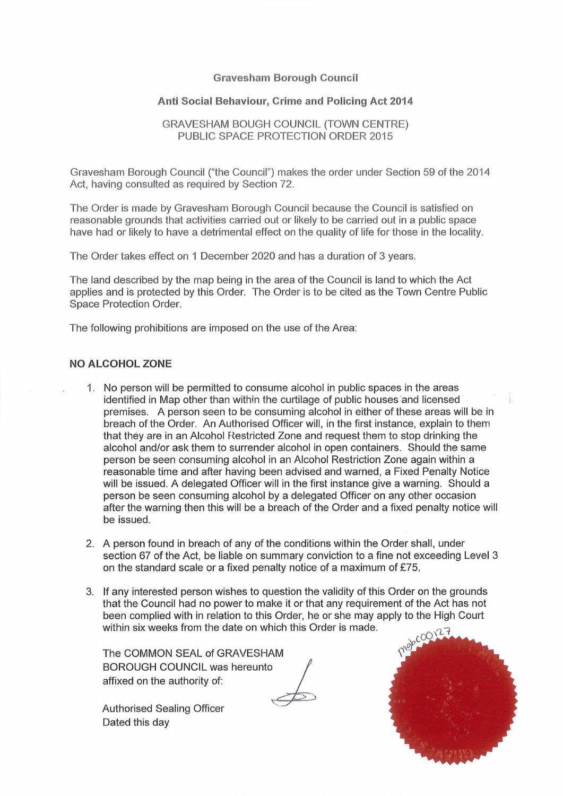## **Gravesham Borough Council**

## **Anti Social Behaviour, Crime and Policing Act 2014**

## GRAVESHAM BOUGH COUNCIL (TOWN CENTRE) PUBLIC SPACE PROTECTION ORDER 2015

Gravesham Borough Council ("the Council") makes the order under Section 59 of the 2014 Act, having consulted as required by Section 72.

The Order is made by Gravesham Borough Council because the Council is satisfied on reasonable grounds that activities carried out or likely to be carried out in a public space have had or likely to have a detrimental effect on the quality of life for those in the locality.

The Order takes effect on 1 December 2020 and has a duration of 3 years.

The land described by the map being in the area of the Council is land to which the Act applies and is protected by this Order. The Order is to be cited as the Town Centre Public Space Protection Order.

The following prohibitions are imposed on the use of the Area:

## **NO ALCOHOL ZONE**

- 1. No person will be permitted to consume alcohol in public spaces in the areas identified in Map other than within the curtilage of public houses and licensed premises. A person seen to be consuming alcohol in either of these areas will be in breach of the Order. An Authorised Officer will, in the first instance, explain to them that they are in an Alcohol Restricted Zone and request them to stop drinking the alcohol and/or ask them to surrender alcohol in open containers. Should the same person be seen consuming alcohol in an Alcohol Restriction Zone again within a reasonable time and after having been advised and warned, a Fixed Penalty Notice will be issued. A delegated Officer will in the first instance give a warning. Should a person be seen consuming alcohol by a delegated Officer on any other occasion after the warning then this will be a breach of the Order and a fixed penalty notice will be issued.
- 2. A person found in breach of any of the conditions within the Order shall, under section 67 of the Act, be liable on summary conviction to a fine not exceeding Level 3 on the standard scale or a fixed penalty notice of a maximum of £75.
- 3. If any interested person wishes to question the validity of this Order on the grounds that the Council had no power to make it or that any requirement of the Act has not been complied with in relation to this Order, he or she may apply to the High Court within six weeks from the date on which this Order is made.

The COMMON SEAL of GRAVESHAM BOROUGH COUNCIL was hereunto **interp** The COMMON SEAL of GRAVESHAM<br>BOROUGH COUNCIL was hereunto<br>affixed on the authority of:

Authorised Sealing Officer Dated this day